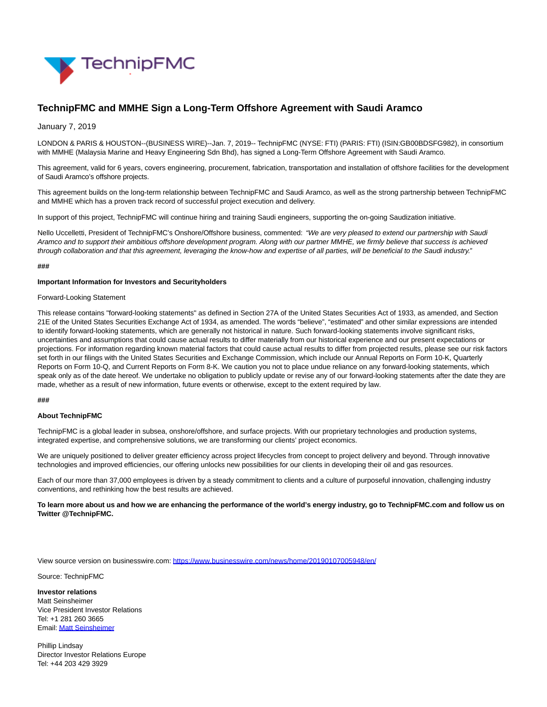

# **TechnipFMC and MMHE Sign a Long-Term Offshore Agreement with Saudi Aramco**

January 7, 2019

LONDON & PARIS & HOUSTON--(BUSINESS WIRE)--Jan. 7, 2019-- TechnipFMC (NYSE: FTI) (PARIS: FTI) (ISIN:GB00BDSFG982), in consortium with MMHE (Malaysia Marine and Heavy Engineering Sdn Bhd), has signed a Long-Term Offshore Agreement with Saudi Aramco.

This agreement, valid for 6 years, covers engineering, procurement, fabrication, transportation and installation of offshore facilities for the development of Saudi Aramco's offshore projects.

This agreement builds on the long-term relationship between TechnipFMC and Saudi Aramco, as well as the strong partnership between TechnipFMC and MMHE which has a proven track record of successful project execution and delivery.

In support of this project, TechnipFMC will continue hiring and training Saudi engineers, supporting the on-going Saudization initiative.

Nello Uccelletti, President of TechnipFMC's Onshore/Offshore business, commented: "We are very pleased to extend our partnership with Saudi Aramco and to support their ambitious offshore development program. Along with our partner MMHE, we firmly believe that success is achieved through collaboration and that this agreement, leveraging the know-how and expertise of all parties, will be beneficial to the Saudi industry."

### **###**

## **Important Information for Investors and Securityholders**

## Forward-Looking Statement

This release contains "forward-looking statements" as defined in Section 27A of the United States Securities Act of 1933, as amended, and Section 21E of the United States Securities Exchange Act of 1934, as amended. The words "believe", "estimated" and other similar expressions are intended to identify forward-looking statements, which are generally not historical in nature. Such forward-looking statements involve significant risks, uncertainties and assumptions that could cause actual results to differ materially from our historical experience and our present expectations or projections. For information regarding known material factors that could cause actual results to differ from projected results, please see our risk factors set forth in our filings with the United States Securities and Exchange Commission, which include our Annual Reports on Form 10-K, Quarterly Reports on Form 10-Q, and Current Reports on Form 8-K. We caution you not to place undue reliance on any forward-looking statements, which speak only as of the date hereof. We undertake no obligation to publicly update or revise any of our forward-looking statements after the date they are made, whether as a result of new information, future events or otherwise, except to the extent required by law.

#### **###**

#### **About TechnipFMC**

TechnipFMC is a global leader in subsea, onshore/offshore, and surface projects. With our proprietary technologies and production systems, integrated expertise, and comprehensive solutions, we are transforming our clients' project economics.

We are uniquely positioned to deliver greater efficiency across project lifecycles from concept to project delivery and beyond. Through innovative technologies and improved efficiencies, our offering unlocks new possibilities for our clients in developing their oil and gas resources.

Each of our more than 37,000 employees is driven by a steady commitment to clients and a culture of purposeful innovation, challenging industry conventions, and rethinking how the best results are achieved.

**To learn more about us and how we are enhancing the performance of the world's energy industry, go to TechnipFMC.com and follow us on Twitter @TechnipFMC.**

View source version on businesswire.com:<https://www.businesswire.com/news/home/20190107005948/en/>

Source: TechnipFMC

**Investor relations** Matt Seinsheimer Vice President Investor Relations Tel: +1 281 260 3665 Email[: Matt Seinsheimer](mailto:InvestorRelations@TechnipFMC.com)

Phillip Lindsay Director Investor Relations Europe Tel: +44 203 429 3929